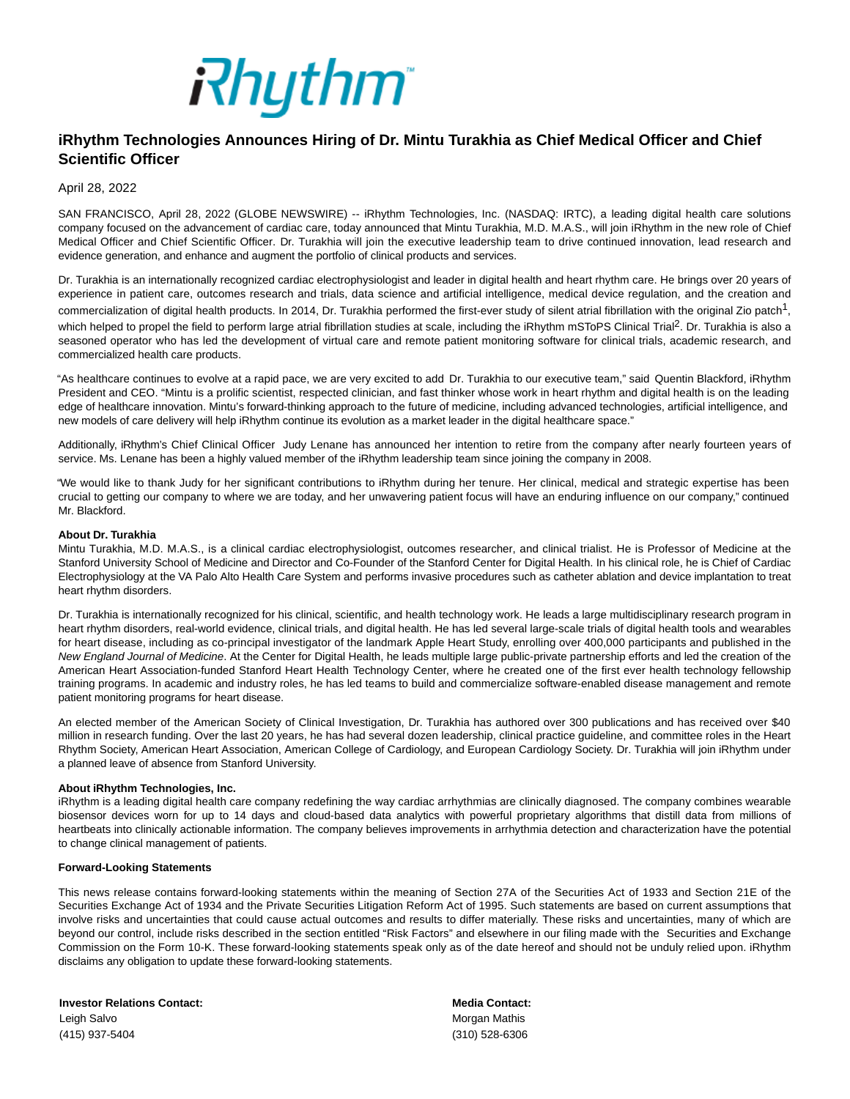

## **iRhythm Technologies Announces Hiring of Dr. Mintu Turakhia as Chief Medical Officer and Chief Scientific Officer**

April 28, 2022

SAN FRANCISCO, April 28, 2022 (GLOBE NEWSWIRE) -- iRhythm Technologies, Inc. (NASDAQ: IRTC), a leading digital health care solutions company focused on the advancement of cardiac care, today announced that Mintu Turakhia, M.D. M.A.S., will join iRhythm in the new role of Chief Medical Officer and Chief Scientific Officer. Dr. Turakhia will join the executive leadership team to drive continued innovation, lead research and evidence generation, and enhance and augment the portfolio of clinical products and services.

Dr. Turakhia is an internationally recognized cardiac electrophysiologist and leader in digital health and heart rhythm care. He brings over 20 years of experience in patient care, outcomes research and trials, data science and artificial intelligence, medical device regulation, and the creation and commercialization of digital health products. In 2014, Dr. Turakhia performed the first-ever study of silent atrial fibrillation with the original Zio patch<sup>1</sup>, which helped to propel the field to perform large atrial fibrillation studies at scale, including the iRhythm mSToPS Clinical Trial<sup>2</sup>. Dr. Turakhia is also a seasoned operator who has led the development of virtual care and remote patient monitoring software for clinical trials, academic research, and commercialized health care products.

"As healthcare continues to evolve at a rapid pace, we are very excited to add Dr. Turakhia to our executive team," said Quentin Blackford, iRhythm President and CEO. "Mintu is a prolific scientist, respected clinician, and fast thinker whose work in heart rhythm and digital health is on the leading edge of healthcare innovation. Mintu's forward-thinking approach to the future of medicine, including advanced technologies, artificial intelligence, and new models of care delivery will help iRhythm continue its evolution as a market leader in the digital healthcare space."

Additionally, iRhythm's Chief Clinical Officer Judy Lenane has announced her intention to retire from the company after nearly fourteen years of service. Ms. Lenane has been a highly valued member of the iRhythm leadership team since joining the company in 2008.

"We would like to thank Judy for her significant contributions to iRhythm during her tenure. Her clinical, medical and strategic expertise has been crucial to getting our company to where we are today, and her unwavering patient focus will have an enduring influence on our company," continued Mr. Blackford.

## **About Dr. Turakhia**

Mintu Turakhia, M.D. M.A.S., is a clinical cardiac electrophysiologist, outcomes researcher, and clinical trialist. He is Professor of Medicine at the Stanford University School of Medicine and Director and Co-Founder of the Stanford Center for Digital Health. In his clinical role, he is Chief of Cardiac Electrophysiology at the VA Palo Alto Health Care System and performs invasive procedures such as catheter ablation and device implantation to treat heart rhythm disorders.

Dr. Turakhia is internationally recognized for his clinical, scientific, and health technology work. He leads a large multidisciplinary research program in heart rhythm disorders, real-world evidence, clinical trials, and digital health. He has led several large-scale trials of digital health tools and wearables for heart disease, including as co-principal investigator of the landmark Apple Heart Study, enrolling over 400,000 participants and published in the New England Journal of Medicine. At the Center for Digital Health, he leads multiple large public-private partnership efforts and led the creation of the American Heart Association-funded Stanford Heart Health Technology Center, where he created one of the first ever health technology fellowship training programs. In academic and industry roles, he has led teams to build and commercialize software-enabled disease management and remote patient monitoring programs for heart disease.

An elected member of the American Society of Clinical Investigation, Dr. Turakhia has authored over 300 publications and has received over \$40 million in research funding. Over the last 20 years, he has had several dozen leadership, clinical practice guideline, and committee roles in the Heart Rhythm Society, American Heart Association, American College of Cardiology, and European Cardiology Society. Dr. Turakhia will join iRhythm under a planned leave of absence from Stanford University.

## **About iRhythm Technologies, Inc.**

iRhythm is a leading digital health care company redefining the way cardiac arrhythmias are clinically diagnosed. The company combines wearable biosensor devices worn for up to 14 days and cloud-based data analytics with powerful proprietary algorithms that distill data from millions of heartbeats into clinically actionable information. The company believes improvements in arrhythmia detection and characterization have the potential to change clinical management of patients.

## **Forward-Looking Statements**

This news release contains forward-looking statements within the meaning of Section 27A of the Securities Act of 1933 and Section 21E of the Securities Exchange Act of 1934 and the Private Securities Litigation Reform Act of 1995. Such statements are based on current assumptions that involve risks and uncertainties that could cause actual outcomes and results to differ materially. These risks and uncertainties, many of which are beyond our control, include risks described in the section entitled "Risk Factors" and elsewhere in our filing made with the Securities and Exchange Commission on the Form 10-K. These forward-looking statements speak only as of the date hereof and should not be unduly relied upon. iRhythm disclaims any obligation to update these forward-looking statements.

**Investor Relations Contact: Media Contact:** Leigh Salvo **Morgan Mathis** Contract Contract Contract Contract Contract Contract Contract Contract Contract Contract Contract Contract Contract Contract Contract Contract Contract Contract Contract Contract Contract Contr (415) 937-5404 (310) 528-6306